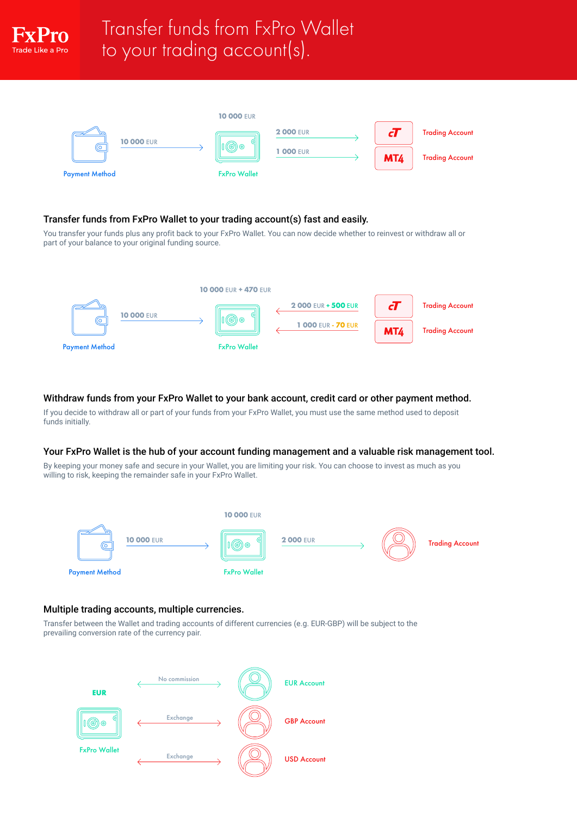

# Transfer funds from FxPro Wallet to your trading account(s).



## Transfer funds from FxPro Wallet to your trading account(s) fast and easily.

You transfer your funds plus any profit back to your FxPro Wallet. You can now decide whether to reinvest or withdraw all or part of your balance to your original funding source.



### Withdraw funds from your FxPro Wallet to your bank account, credit card or other payment method.

If you decide to withdraw all or part of your funds from your FxPro Wallet, you must use the same method used to deposit funds initially.

### Your FxPro Wallet is the hub of your account funding management and a valuable risk management tool.

By keeping your money safe and secure in your Wallet, you are limiting your risk. You can choose to invest as much as you willing to risk, keeping the remainder safe in your FxPro Wallet.



### Multiple trading accounts, multiple currencies.

Transfer between the Wallet and trading accounts of different currencies (e.g. EUR-GBP) will be subject to the prevailing conversion rate of the currency pair.